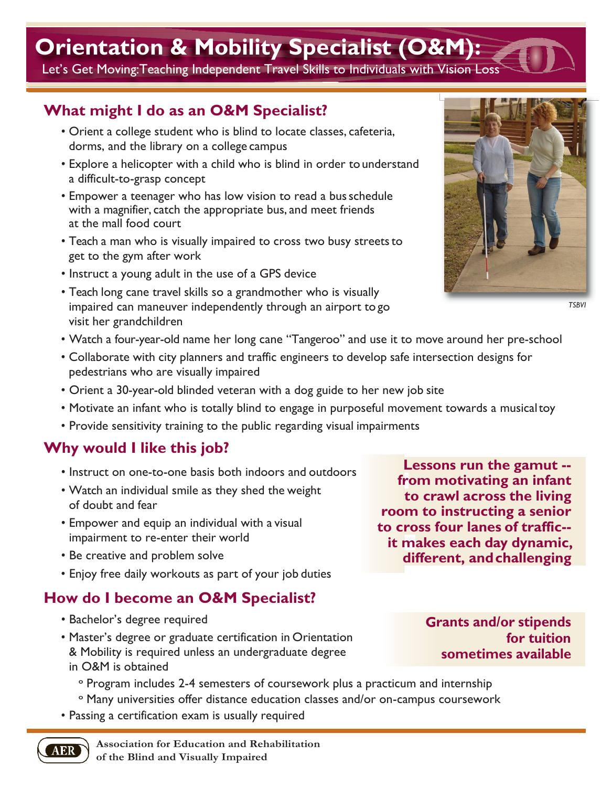# **Orientation & Mobility Specialist (O&M):**

Let's Get Moving:Teaching Independent Travel Skills to Individuals with Vision Loss

## **What might I do as an O&M Specialist?**

- Orient a college student who is blind to locate classes, cafeteria, dorms, and the library on a college campus
- Explore a helicopter with a child who is blind in order to understand a difficult-to-grasp concept
- Empower a teenager who has low vision to read a busschedule with a magnifier, catch the appropriate bus, and meet friends at the mall food court
- Teach a man who is visually impaired to cross two busy streets to get to the gym after work
- Instruct a young adult in the use of a GPS device
- Teach long cane travel skills so a grandmother who is visually impaired can maneuver independently through an airport to go visit her grandchildren
- Watch a four-year-old name her long cane "Tangeroo" and use it to move around her pre-school
- Collaborate with city planners and traffic engineers to develop safe intersection designs for pedestrians who are visually impaired
- Orient a 30-year-old blinded veteran with a dog guide to her new job site
- Motivate an infant who is totally blind to engage in purposeful movement towards a musicaltoy
- Provide sensitivity training to the public regarding visual impairments

### **Why would I like this job?**

- Instruct on one-to-one basis both indoors and outdoors
- Watch an individual smile as they shed the weight of doubt and fear
- Empower and equip an individual with a visual impairment to re-enter their world
- Be creative and problem solve
- Enjoy free daily workouts as part of your job duties

## **How do I become an O&M Specialist?**

• Bachelor's degree required

AER

- Master's degree or graduate certification in Orientation & Mobility is required unless an undergraduate degree in O&M is obtained
	- º Program includes 2-4 semesters of coursework plus a practicum and internship
	- º Many universities offer distance education classes and/or on-campus coursework
- Passing a certification exam is usually required

**Lessons run the gamut - from motivating an infant to crawl across the living room to instructing a senior to cross four lanes of traffic- it makes each day dynamic, different, andchallenging**

> **rants and/or stipends G for tuition sometimes available**



*TSBVI*